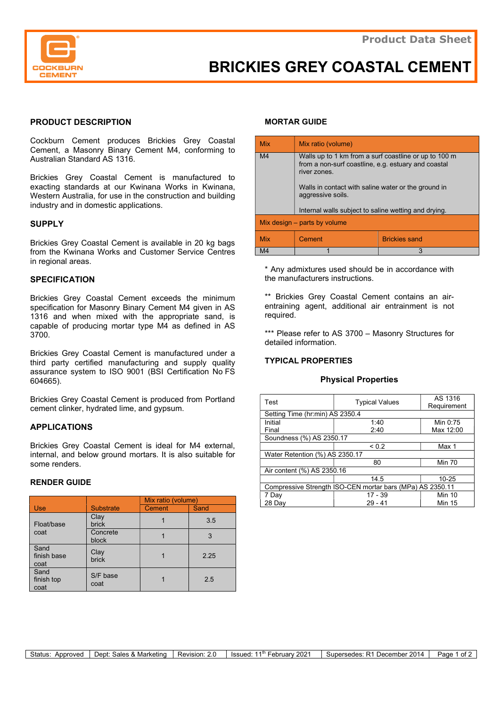

# BRICKIES GREY COASTAL CEMENT

## PRODUCT DESCRIPTION

Cockburn Cement produces Brickies Grey Coastal Cement, a Masonry Binary Cement M4, conforming to Australian Standard AS 1316.

Brickies Grey Coastal Cement is manufactured to exacting standards at our Kwinana Works in Kwinana, Western Australia, for use in the construction and building industry and in domestic applications.

#### **SUPPLY**

Brickies Grey Coastal Cement is available in 20 kg bags from the Kwinana Works and Customer Service Centres in regional areas.

#### **SPECIFICATION**

Brickies Grey Coastal Cement exceeds the minimum specification for Masonry Binary Cement M4 given in AS 1316 and when mixed with the appropriate sand, is capable of producing mortar type M4 as defined in AS 3700.

Brickies Grey Coastal Cement is manufactured under a third party certified manufacturing and supply quality assurance system to ISO 9001 (BSI Certification No FS 604665).

Brickies Grey Coastal Cement is produced from Portland cement clinker, hydrated lime, and gypsum.

#### APPLICATIONS

Brickies Grey Coastal Cement is ideal for M4 external, internal, and below ground mortars. It is also suitable for some renders.

#### RENDER GUIDE

|                             |                   | Mix ratio (volume) |      |
|-----------------------------|-------------------|--------------------|------|
| <b>Use</b>                  | <b>Substrate</b>  | Cement             | Sand |
| Float/base<br>coat          | Clay<br>brick     |                    | 3.5  |
|                             | Concrete<br>block |                    |      |
| Sand<br>finish base<br>coat | Clay<br>brick     |                    | 2.25 |
| Sand<br>finish top<br>coat  | S/F base<br>coat  |                    | 2.5  |

## MORTAR GUIDE

| <b>Mix</b>                     | Mix ratio (volume)                                                                                                           |                      |  |  |
|--------------------------------|------------------------------------------------------------------------------------------------------------------------------|----------------------|--|--|
| M <sub>4</sub>                 | Walls up to 1 km from a surf coastline or up to 100 m<br>from a non-surf coastline, e.g. estuary and coastal<br>river zones. |                      |  |  |
|                                | Walls in contact with saline water or the ground in<br>aggressive soils.                                                     |                      |  |  |
|                                | Internal walls subject to saline wetting and drying.                                                                         |                      |  |  |
| Mix design $-$ parts by volume |                                                                                                                              |                      |  |  |
| <b>Mix</b>                     | Cement                                                                                                                       | <b>Brickies sand</b> |  |  |
| M4                             |                                                                                                                              | 3                    |  |  |

\* Any admixtures used should be in accordance with the manufacturers instructions.

\*\* Brickies Grey Coastal Cement contains an airentraining agent, additional air entrainment is not required.

\*\*\* Please refer to AS 3700 – Masonry Structures for detailed information.

#### TYPICAL PROPERTIES

#### Physical Properties

| Test                                                      | <b>Typical Values</b> | AS 1316<br>Requirement |  |  |
|-----------------------------------------------------------|-----------------------|------------------------|--|--|
| Setting Time (hr:min) AS 2350.4                           |                       |                        |  |  |
| Initial                                                   | 1:40                  | Min 0:75               |  |  |
| Final                                                     | 2:40                  | Max 12:00              |  |  |
| Soundness (%) AS 2350.17                                  |                       |                        |  |  |
|                                                           | ${}_{0.2}$            | Max 1                  |  |  |
| Water Retention (%) AS 2350.17                            |                       |                        |  |  |
|                                                           | 80                    | <b>Min 70</b>          |  |  |
| Air content (%) AS 2350.16                                |                       |                        |  |  |
|                                                           | 14.5                  | $10 - 25$              |  |  |
| Compressive Strength ISO-CEN mortar bars (MPa) AS 2350.11 |                       |                        |  |  |
| 7 Day                                                     | $17 - 39$             | <b>Min 10</b>          |  |  |
| 28 Day                                                    | $29 - 41$             | <b>Min 15</b>          |  |  |